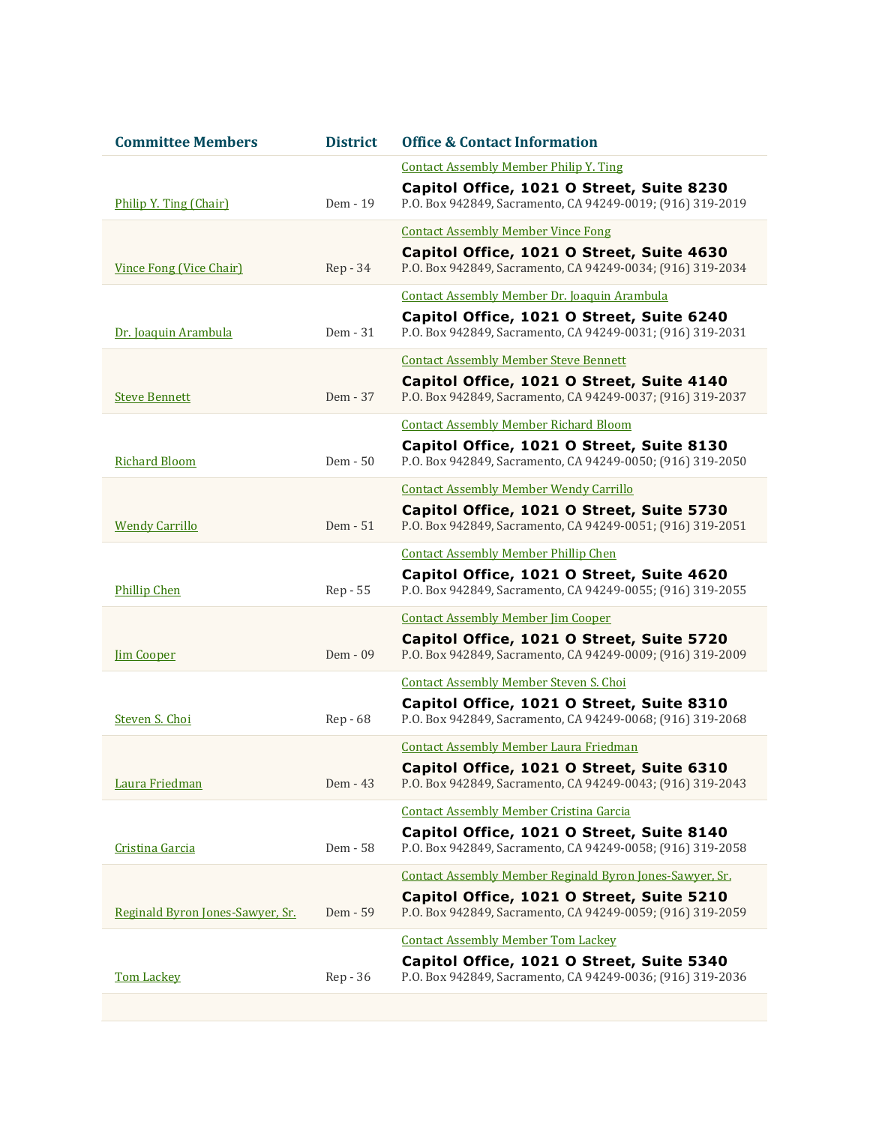| <b>Committee Members</b>         | <b>District</b> | <b>Office &amp; Contact Information</b>                                                                 |
|----------------------------------|-----------------|---------------------------------------------------------------------------------------------------------|
|                                  |                 | <b>Contact Assembly Member Philip Y. Ting</b>                                                           |
| Philip Y. Ting (Chair)           | Dem - 19        | Capitol Office, 1021 O Street, Suite 8230<br>P.O. Box 942849, Sacramento, CA 94249-0019; (916) 319-2019 |
|                                  |                 | <b>Contact Assembly Member Vince Fong</b>                                                               |
| Vince Fong (Vice Chair)          | $Rep-34$        | Capitol Office, 1021 O Street, Suite 4630<br>P.O. Box 942849, Sacramento, CA 94249-0034; (916) 319-2034 |
|                                  |                 | Contact Assembly Member Dr. Joaquin Arambula                                                            |
| Dr. Joaquin Arambula             | Dem - 31        | Capitol Office, 1021 O Street, Suite 6240<br>P.O. Box 942849, Sacramento, CA 94249-0031; (916) 319-2031 |
|                                  |                 | <b>Contact Assembly Member Steve Bennett</b>                                                            |
| <b>Steve Bennett</b>             | Dem - 37        | Capitol Office, 1021 O Street, Suite 4140<br>P.O. Box 942849, Sacramento, CA 94249-0037; (916) 319-2037 |
|                                  |                 | <b>Contact Assembly Member Richard Bloom</b>                                                            |
| <b>Richard Bloom</b>             | Dem - 50        | Capitol Office, 1021 O Street, Suite 8130<br>P.O. Box 942849, Sacramento, CA 94249-0050; (916) 319-2050 |
|                                  |                 | <b>Contact Assembly Member Wendy Carrillo</b>                                                           |
| <b>Wendy Carrillo</b>            | Dem - 51        | Capitol Office, 1021 O Street, Suite 5730<br>P.O. Box 942849, Sacramento, CA 94249-0051; (916) 319-2051 |
|                                  |                 | <b>Contact Assembly Member Phillip Chen</b>                                                             |
| <b>Phillip Chen</b>              | Rep - 55        | Capitol Office, 1021 O Street, Suite 4620<br>P.O. Box 942849, Sacramento, CA 94249-0055; (916) 319-2055 |
|                                  |                 | <b>Contact Assembly Member Jim Cooper</b>                                                               |
| <b>Jim Cooper</b>                | $Dem - 09$      | Capitol Office, 1021 O Street, Suite 5720<br>P.O. Box 942849, Sacramento, CA 94249-0009; (916) 319-2009 |
|                                  |                 | <b>Contact Assembly Member Steven S. Choi</b>                                                           |
| Steven S. Choi                   | Rep - 68        | Capitol Office, 1021 O Street, Suite 8310<br>P.O. Box 942849, Sacramento, CA 94249-0068; (916) 319-2068 |
|                                  |                 | <b>Contact Assembly Member Laura Friedman</b>                                                           |
| Laura Friedman                   | Dem - 43        | Capitol Office, 1021 O Street, Suite 6310<br>P.O. Box 942849, Sacramento, CA 94249-0043; (916) 319-2043 |
|                                  |                 | <b>Contact Assembly Member Cristina Garcia</b>                                                          |
| Cristina Garcia                  | Dem - 58        | Capitol Office, 1021 O Street, Suite 8140<br>P.O. Box 942849, Sacramento, CA 94249-0058; (916) 319-2058 |
|                                  |                 | Contact Assembly Member Reginald Byron Jones-Sawyer, Sr.                                                |
| Reginald Byron Jones-Sawyer, Sr. | Dem - 59        | Capitol Office, 1021 O Street, Suite 5210<br>P.O. Box 942849, Sacramento, CA 94249-0059; (916) 319-2059 |
|                                  |                 | <b>Contact Assembly Member Tom Lackey</b>                                                               |
| <b>Tom Lackey</b>                | Rep - 36        | Capitol Office, 1021 O Street, Suite 5340<br>P.O. Box 942849, Sacramento, CA 94249-0036; (916) 319-2036 |
|                                  |                 |                                                                                                         |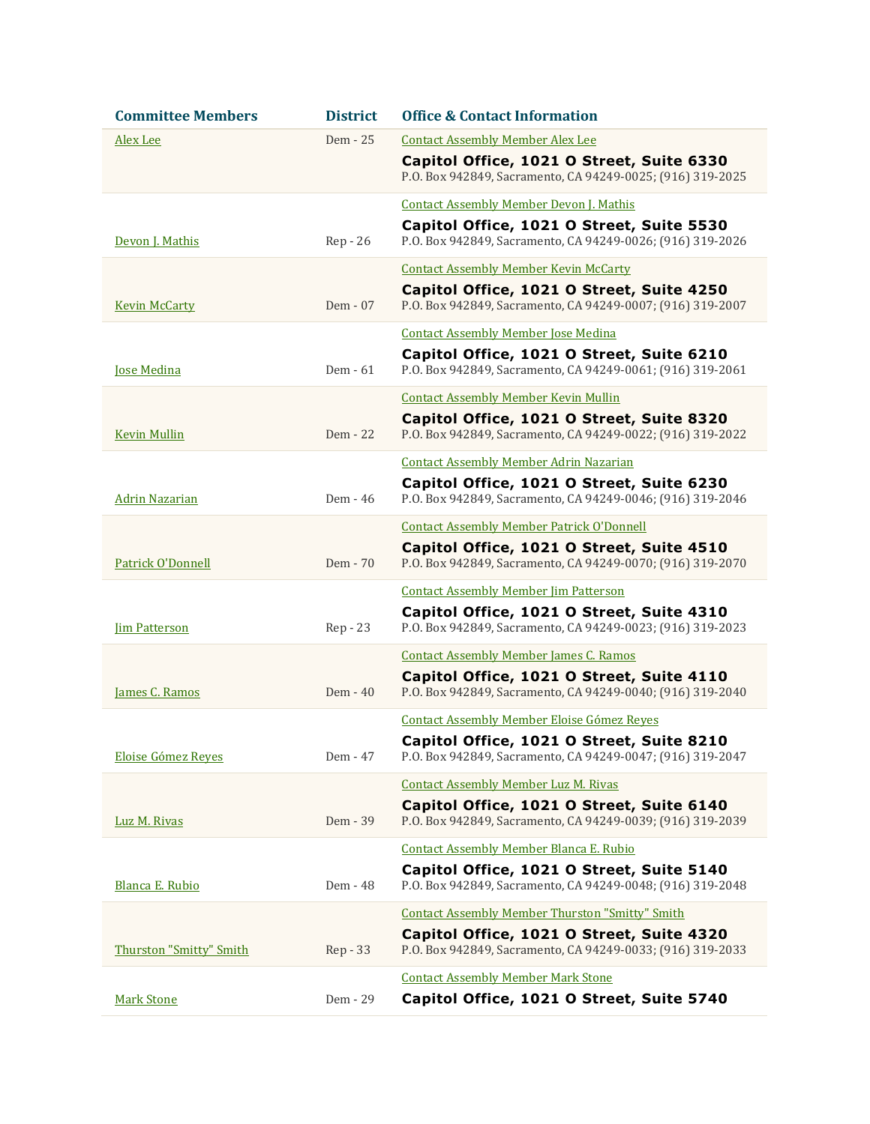| <b>Committee Members</b>       | <b>District</b> | <b>Office &amp; Contact Information</b>                                                                 |
|--------------------------------|-----------------|---------------------------------------------------------------------------------------------------------|
| Alex Lee                       | Dem - 25        | <b>Contact Assembly Member Alex Lee</b>                                                                 |
|                                |                 | Capitol Office, 1021 O Street, Suite 6330<br>P.O. Box 942849, Sacramento, CA 94249-0025; (916) 319-2025 |
|                                |                 | <b>Contact Assembly Member Devon J. Mathis</b>                                                          |
| Devon J. Mathis                | Rep - 26        | Capitol Office, 1021 O Street, Suite 5530<br>P.O. Box 942849, Sacramento, CA 94249-0026; (916) 319-2026 |
|                                |                 | <b>Contact Assembly Member Kevin McCarty</b>                                                            |
| <b>Kevin McCarty</b>           | Dem - 07        | Capitol Office, 1021 O Street, Suite 4250<br>P.O. Box 942849, Sacramento, CA 94249-0007; (916) 319-2007 |
|                                |                 | <b>Contact Assembly Member Jose Medina</b>                                                              |
| <b>Jose Medina</b>             | Dem - 61        | Capitol Office, 1021 O Street, Suite 6210<br>P.O. Box 942849, Sacramento, CA 94249-0061; (916) 319-2061 |
|                                |                 | <b>Contact Assembly Member Kevin Mullin</b>                                                             |
| <b>Kevin Mullin</b>            | Dem - 22        | Capitol Office, 1021 O Street, Suite 8320<br>P.O. Box 942849, Sacramento, CA 94249-0022; (916) 319-2022 |
|                                |                 | <b>Contact Assembly Member Adrin Nazarian</b>                                                           |
|                                |                 | Capitol Office, 1021 O Street, Suite 6230                                                               |
| <b>Adrin Nazarian</b>          | Dem - 46        | P.O. Box 942849, Sacramento, CA 94249-0046; (916) 319-2046                                              |
|                                |                 | <b>Contact Assembly Member Patrick O'Donnell</b>                                                        |
| Patrick O'Donnell              | Dem - 70        | Capitol Office, 1021 O Street, Suite 4510<br>P.O. Box 942849, Sacramento, CA 94249-0070; (916) 319-2070 |
|                                |                 | <b>Contact Assembly Member Jim Patterson</b>                                                            |
| <b>Im Patterson</b>            | Rep - 23        | Capitol Office, 1021 O Street, Suite 4310<br>P.O. Box 942849, Sacramento, CA 94249-0023; (916) 319-2023 |
|                                |                 | <b>Contact Assembly Member James C. Ramos</b>                                                           |
| James C. Ramos                 | Dem - 40        | Capitol Office, 1021 O Street, Suite 4110<br>P.O. Box 942849, Sacramento, CA 94249-0040; (916) 319-2040 |
|                                |                 | <b>Contact Assembly Member Eloise Gómez Reves</b>                                                       |
| Eloise Gómez Reves             | Dem - 47        | Capitol Office, 1021 O Street, Suite 8210<br>P.O. Box 942849, Sacramento, CA 94249-0047; (916) 319-2047 |
|                                |                 | <b>Contact Assembly Member Luz M. Rivas</b>                                                             |
| Luz M. Rivas                   | Dem - 39        | Capitol Office, 1021 O Street, Suite 6140<br>P.O. Box 942849, Sacramento, CA 94249-0039; (916) 319-2039 |
|                                |                 | <b>Contact Assembly Member Blanca E. Rubio</b>                                                          |
| Blanca E. Rubio                | Dem - 48        | Capitol Office, 1021 O Street, Suite 5140<br>P.O. Box 942849, Sacramento, CA 94249-0048; (916) 319-2048 |
|                                |                 | <b>Contact Assembly Member Thurston "Smitty" Smith</b>                                                  |
| <b>Thurston "Smitty" Smith</b> | Rep - 33        | Capitol Office, 1021 O Street, Suite 4320<br>P.O. Box 942849, Sacramento, CA 94249-0033; (916) 319-2033 |
|                                |                 | <b>Contact Assembly Member Mark Stone</b>                                                               |
| <b>Mark Stone</b>              | Dem - 29        | Capitol Office, 1021 O Street, Suite 5740                                                               |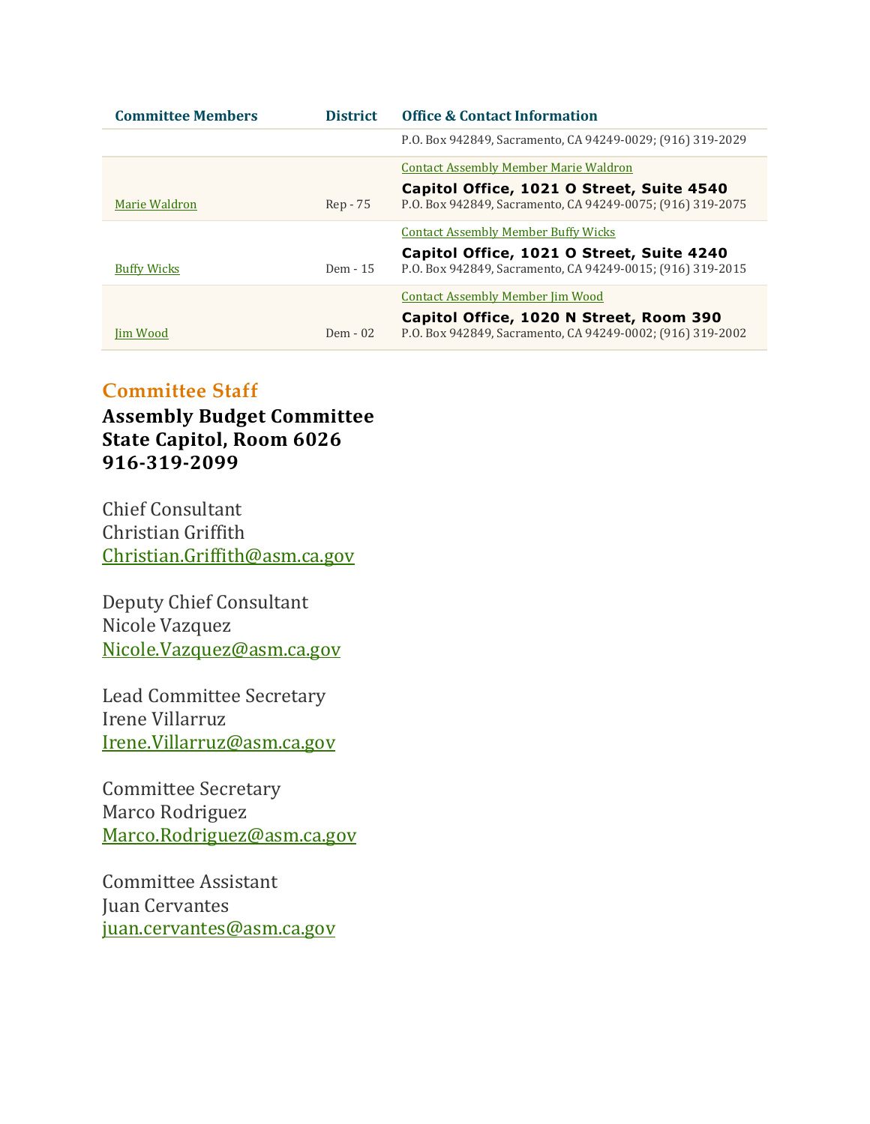| <b>Committee Members</b> | <b>District</b> | <b>Office &amp; Contact Information</b>                                                                 |
|--------------------------|-----------------|---------------------------------------------------------------------------------------------------------|
|                          |                 | P.O. Box 942849, Sacramento, CA 94249-0029; (916) 319-2029                                              |
|                          |                 | Contact Assembly Member Marie Waldron                                                                   |
| Marie Waldron            | Rep - 75        | Capitol Office, 1021 O Street, Suite 4540<br>P.O. Box 942849, Sacramento, CA 94249-0075; (916) 319-2075 |
|                          |                 | <b>Contact Assembly Member Buffy Wicks</b>                                                              |
| <b>Buffy Wicks</b>       | Dem - 15        | Capitol Office, 1021 O Street, Suite 4240<br>P.O. Box 942849, Sacramento, CA 94249-0015; (916) 319-2015 |
|                          |                 | <b>Contact Assembly Member Jim Wood</b>                                                                 |
| Iim Wood                 | $Dem - 02$      | Capitol Office, 1020 N Street, Room 390<br>P.O. Box 942849, Sacramento, CA 94249-0002; (916) 319-2002   |

## **Committee Staff**

**Assembly Budget Committee State Capitol, Room 6026 916-319-2099**

Chief Consultant Christian Griffith [Christian.Griffith@asm.ca.gov](mailto:Christian.Griffith@asm.ca.gov)

Deputy Chief Consultant Nicole Vazquez [Nicole.Vazquez@asm.ca.gov](mailto:Nicole.Vazquez@asm.ca.gov)

Lead Committee Secretary Irene Villarruz [Irene.Villarruz@asm.ca.gov](mailto:Irene.Villarruz@asm.ca.gov)

Committee Secretary Marco Rodriguez [Marco.Rodriguez@asm.ca.gov](mailto:Marco.Rodriguez@asm.ca.gov)

Committee Assistant Juan Cervantes [juan.cervantes@asm.ca.gov](mailto:juan.cervantes@asm.ca.gov)